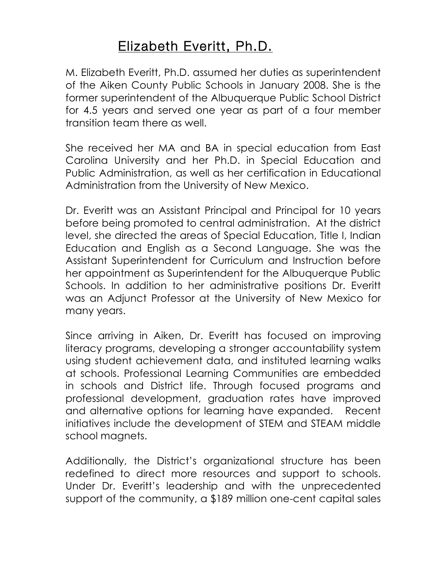## Elizabeth Everitt, Ph.D.

M. Elizabeth Everitt, Ph.D. assumed her duties as superintendent of the Aiken County Public Schools in January 2008. She is the former superintendent of the Albuquerque Public School District for 4.5 years and served one year as part of a four member transition team there as well.

She received her MA and BA in special education from East Carolina University and her Ph.D. in Special Education and Public Administration, as well as her certification in Educational Administration from the University of New Mexico.

Dr. Everitt was an Assistant Principal and Principal for 10 years before being promoted to central administration. At the district level, she directed the areas of Special Education, Title I, Indian Education and English as a Second Language. She was the Assistant Superintendent for Curriculum and Instruction before her appointment as Superintendent for the Albuquerque Public Schools. In addition to her administrative positions Dr. Everitt was an Adjunct Professor at the University of New Mexico for many years.

Since arriving in Aiken, Dr. Everitt has focused on improving literacy programs, developing a stronger accountability system using student achievement data, and instituted learning walks at schools. Professional Learning Communities are embedded in schools and District life. Through focused programs and professional development, graduation rates have improved and alternative options for learning have expanded. Recent initiatives include the development of STEM and STEAM middle school magnets.

Additionally, the District's organizational structure has been redefined to direct more resources and support to schools. Under Dr. Everitt's leadership and with the unprecedented support of the community, a \$189 million one-cent capital sales